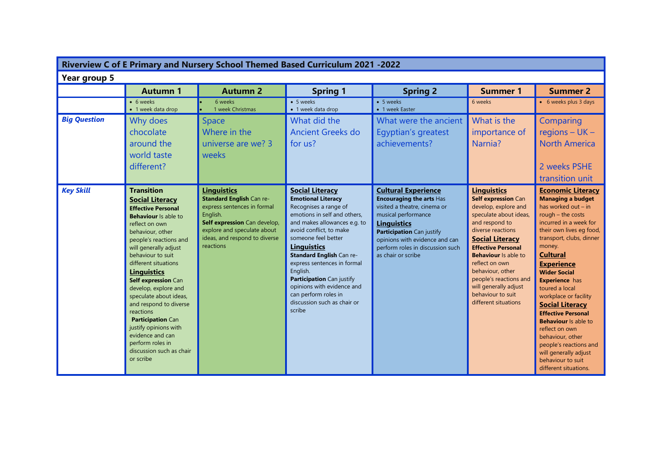| Riverview C of E Primary and Nursery School Themed Based Curriculum 2021 -2022 |                                                                                                                                                                                                                                                                                                                                                                                                                                                                                                                    |                                                                                                                                                                                                               |                                                                                                                                                                                                                                                                                                                                                                                                                         |                                                                                                                                                                                                                                                                     |                                                                                                                                                                                                                                                                                                                                                                |                                                                                                                                                                                                                                                                                                                                                                                                                                                                                                                                                                  |  |
|--------------------------------------------------------------------------------|--------------------------------------------------------------------------------------------------------------------------------------------------------------------------------------------------------------------------------------------------------------------------------------------------------------------------------------------------------------------------------------------------------------------------------------------------------------------------------------------------------------------|---------------------------------------------------------------------------------------------------------------------------------------------------------------------------------------------------------------|-------------------------------------------------------------------------------------------------------------------------------------------------------------------------------------------------------------------------------------------------------------------------------------------------------------------------------------------------------------------------------------------------------------------------|---------------------------------------------------------------------------------------------------------------------------------------------------------------------------------------------------------------------------------------------------------------------|----------------------------------------------------------------------------------------------------------------------------------------------------------------------------------------------------------------------------------------------------------------------------------------------------------------------------------------------------------------|------------------------------------------------------------------------------------------------------------------------------------------------------------------------------------------------------------------------------------------------------------------------------------------------------------------------------------------------------------------------------------------------------------------------------------------------------------------------------------------------------------------------------------------------------------------|--|
| Year group 5                                                                   |                                                                                                                                                                                                                                                                                                                                                                                                                                                                                                                    |                                                                                                                                                                                                               |                                                                                                                                                                                                                                                                                                                                                                                                                         |                                                                                                                                                                                                                                                                     |                                                                                                                                                                                                                                                                                                                                                                |                                                                                                                                                                                                                                                                                                                                                                                                                                                                                                                                                                  |  |
|                                                                                | <b>Autumn 1</b>                                                                                                                                                                                                                                                                                                                                                                                                                                                                                                    | <b>Autumn 2</b>                                                                                                                                                                                               | <b>Spring 1</b>                                                                                                                                                                                                                                                                                                                                                                                                         | <b>Spring 2</b>                                                                                                                                                                                                                                                     | <b>Summer 1</b>                                                                                                                                                                                                                                                                                                                                                | <b>Summer 2</b>                                                                                                                                                                                                                                                                                                                                                                                                                                                                                                                                                  |  |
|                                                                                | • 6 weeks<br>• 1 week data drop                                                                                                                                                                                                                                                                                                                                                                                                                                                                                    | 6 weeks<br>1 week Christmas                                                                                                                                                                                   | • 5 weeks<br>• 1 week data drop                                                                                                                                                                                                                                                                                                                                                                                         | • 5 weeks<br>• 1 week Easter                                                                                                                                                                                                                                        | 6 weeks                                                                                                                                                                                                                                                                                                                                                        | • 6 weeks plus 3 days                                                                                                                                                                                                                                                                                                                                                                                                                                                                                                                                            |  |
| <b>Big Question</b>                                                            | Why does<br>chocolate<br>around the<br>world taste<br>different?                                                                                                                                                                                                                                                                                                                                                                                                                                                   | <b>Space</b><br>Where in the<br>universe are we? 3<br>weeks                                                                                                                                                   | What did the<br>Ancient Greeks do<br>for us?                                                                                                                                                                                                                                                                                                                                                                            | What were the ancient<br>Egyptian's greatest<br>achievements?                                                                                                                                                                                                       | What is the<br>importance of<br>Narnia?                                                                                                                                                                                                                                                                                                                        | Comparing<br>regions $- UK -$<br><b>North America</b><br>2 weeks PSHE<br>transition unit                                                                                                                                                                                                                                                                                                                                                                                                                                                                         |  |
| <b>Key Skill</b>                                                               | <b>Transition</b><br><b>Social Literacy</b><br><b>Effective Personal</b><br><b>Behaviour</b> Is able to<br>reflect on own<br>behaviour, other<br>people's reactions and<br>will generally adjust<br>behaviour to suit<br>different situations<br><b>Linguistics</b><br>Self expression Can<br>develop, explore and<br>speculate about ideas,<br>and respond to diverse<br>reactions<br>Participation Can<br>justify opinions with<br>evidence and can<br>perform roles in<br>discussion such as chair<br>or scribe | <b>Linguistics</b><br><b>Standard English Can re-</b><br>express sentences in formal<br>English.<br>Self expression Can develop,<br>explore and speculate about<br>ideas, and respond to diverse<br>reactions | <b>Social Literacy</b><br><b>Emotional Literacy</b><br>Recognises a range of<br>emotions in self and others,<br>and makes allowances e.g. to<br>avoid conflict, to make<br>someone feel better<br><b>Linguistics</b><br>Standard English Can re-<br>express sentences in formal<br>English.<br>Participation Can justify<br>opinions with evidence and<br>can perform roles in<br>discussion such as chair or<br>scribe | <b>Cultural Experience</b><br><b>Encouraging the arts Has</b><br>visited a theatre, cinema or<br>musical performance<br><b>Linguistics</b><br>Participation Can justify<br>opinions with evidence and can<br>perform roles in discussion such<br>as chair or scribe | <b>Linguistics</b><br>Self expression Can<br>develop, explore and<br>speculate about ideas,<br>and respond to<br>diverse reactions<br><b>Social Literacy</b><br><b>Effective Personal</b><br><b>Behaviour</b> is able to<br>reflect on own<br>behaviour, other<br>people's reactions and<br>will generally adjust<br>behaviour to suit<br>different situations | <b>Economic Literacy</b><br><b>Managing a budget</b><br>has worked out $-$ in<br>rough $-$ the costs<br>incurred in a week for<br>their own lives eg food,<br>transport, clubs, dinner<br>money.<br><b>Cultural</b><br><b>Experience</b><br><b>Wider Social</b><br><b>Experience</b> has<br>toured a local<br>workplace or facility<br><b>Social Literacy</b><br><b>Effective Personal</b><br><b>Behaviour</b> Is able to<br>reflect on own<br>behaviour, other<br>people's reactions and<br>will generally adjust<br>behaviour to suit<br>different situations. |  |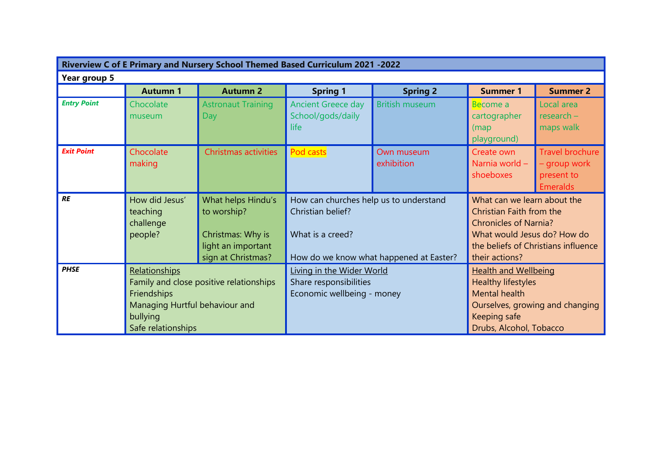| Riverview C of E Primary and Nursery School Themed Based Curriculum 2021 -2022 |                                                                                                                                                          |                                  |                                                                                                                            |                          |                                                                                                                                                                                 |                                                                         |  |  |
|--------------------------------------------------------------------------------|----------------------------------------------------------------------------------------------------------------------------------------------------------|----------------------------------|----------------------------------------------------------------------------------------------------------------------------|--------------------------|---------------------------------------------------------------------------------------------------------------------------------------------------------------------------------|-------------------------------------------------------------------------|--|--|
| Year group 5                                                                   |                                                                                                                                                          |                                  |                                                                                                                            |                          |                                                                                                                                                                                 |                                                                         |  |  |
|                                                                                | <b>Autumn 1</b>                                                                                                                                          | <b>Autumn 2</b>                  | <b>Spring 1</b>                                                                                                            | <b>Spring 2</b>          | <b>Summer 1</b>                                                                                                                                                                 | <b>Summer 2</b>                                                         |  |  |
| <b>Entry Point</b>                                                             | Chocolate<br>museum                                                                                                                                      | <b>Astronaut Training</b><br>Day | <b>Ancient Greece day</b><br>School/gods/daily<br>life                                                                     | <b>British museum</b>    | Become a<br>cartographer<br>(map)<br>playground)                                                                                                                                | Local area<br>$research -$<br>maps walk                                 |  |  |
| <b>Exit Point</b>                                                              | Chocolate<br>making                                                                                                                                      | Christmas activities             | Pod casts                                                                                                                  | Own museum<br>exhibition | Create own<br>Narnia world -<br>shoeboxes                                                                                                                                       | <b>Travel brochure</b><br>- group work<br>present to<br><b>Emeralds</b> |  |  |
| <b>RE</b>                                                                      | How did Jesus'<br>What helps Hindu's<br>to worship?<br>teaching<br>challenge<br>people?<br>Christmas: Why is<br>light an important<br>sign at Christmas? |                                  | How can churches help us to understand<br>Christian belief?<br>What is a creed?<br>How do we know what happened at Easter? |                          | What can we learn about the<br>Christian Faith from the<br><b>Chronicles of Narnia?</b><br>What would Jesus do? How do<br>the beliefs of Christians influence<br>their actions? |                                                                         |  |  |
| <b>PHSE</b>                                                                    | Relationships<br>Family and close positive relationships<br>Friendships<br>Managing Hurtful behaviour and<br>bullying<br>Safe relationships              |                                  | Living in the Wider World<br>Share responsibilities<br>Economic wellbeing - money                                          |                          | <b>Health and Wellbeing</b><br>Healthy lifestyles<br>Mental health<br>Ourselves, growing and changing<br><b>Keeping safe</b><br>Drubs, Alcohol, Tobacco                         |                                                                         |  |  |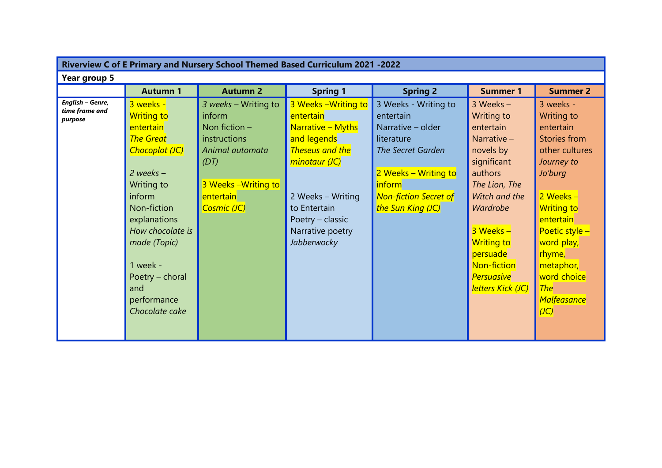| Riverview C of E Primary and Nursery School Themed Based Curriculum 2021 -2022 |                                                                                                                                                                                                                                                                      |                                                                                                                                                  |                                                                                                                                                                                                              |                                                                                                                                                                                  |                                                                                                                                                                                                                                                                     |                                                                                                                                                                                                                                                                                      |  |
|--------------------------------------------------------------------------------|----------------------------------------------------------------------------------------------------------------------------------------------------------------------------------------------------------------------------------------------------------------------|--------------------------------------------------------------------------------------------------------------------------------------------------|--------------------------------------------------------------------------------------------------------------------------------------------------------------------------------------------------------------|----------------------------------------------------------------------------------------------------------------------------------------------------------------------------------|---------------------------------------------------------------------------------------------------------------------------------------------------------------------------------------------------------------------------------------------------------------------|--------------------------------------------------------------------------------------------------------------------------------------------------------------------------------------------------------------------------------------------------------------------------------------|--|
| Year group 5                                                                   |                                                                                                                                                                                                                                                                      |                                                                                                                                                  |                                                                                                                                                                                                              |                                                                                                                                                                                  |                                                                                                                                                                                                                                                                     |                                                                                                                                                                                                                                                                                      |  |
|                                                                                | <b>Autumn 1</b>                                                                                                                                                                                                                                                      | <b>Autumn 2</b>                                                                                                                                  | <b>Spring 1</b>                                                                                                                                                                                              | <b>Spring 2</b>                                                                                                                                                                  | <b>Summer 1</b>                                                                                                                                                                                                                                                     | <b>Summer 2</b>                                                                                                                                                                                                                                                                      |  |
| English - Genre,<br>time frame and<br>purpose                                  | 3 weeks -<br><b>Writing to</b><br>entertain<br><b>The Great</b><br>Chocoplot (JC)<br>$2$ weeks $-$<br>Writing to<br>inform<br>Non-fiction<br>explanations<br>How chocolate is<br>made (Topic)<br>1 week -<br>Poetry - choral<br>and<br>performance<br>Chocolate cake | 3 weeks - Writing to<br>inform<br>Non fiction $-$<br>instructions<br>Animal automata<br>(DT)<br>3 Weeks - Writing to<br>entertain<br>Cosmic (JC) | 3 Weeks - Writing to<br>entertain<br>Narrative - Myths<br>and legends<br><b>Theseus and the</b><br>minotaur (JC)<br>2 Weeks - Writing<br>to Entertain<br>Poetry - classic<br>Narrative poetry<br>Jabberwocky | 3 Weeks - Writing to<br>entertain<br>Narrative – older<br>literature<br>The Secret Garden<br>2 Weeks - Writing to<br>inform<br><b>Non-fiction Secret of</b><br>the Sun King (JC) | $3$ Weeks $-$<br><b>Writing to</b><br>entertain<br>Narrative $-$<br>novels by<br>significant<br>authors<br>The Lion, The<br>Witch and the<br><b>Wardrobe</b><br>3 Weeks -<br><b>Writing to</b><br>persuade<br>Non-fiction<br><b>Persuasive</b><br>letters Kick (JC) | 3 weeks -<br><b>Writing to</b><br>entertain<br>Stories from<br>other cultures<br>Journey to<br>Jo'burg<br>2 Weeks -<br><b>Writing to</b><br>entertain<br>Poetic style -<br>word play,<br>rhyme,<br>metaphor,<br>word choice<br><b>The</b><br><b>Malfeasance</b><br>$\overline{(IC)}$ |  |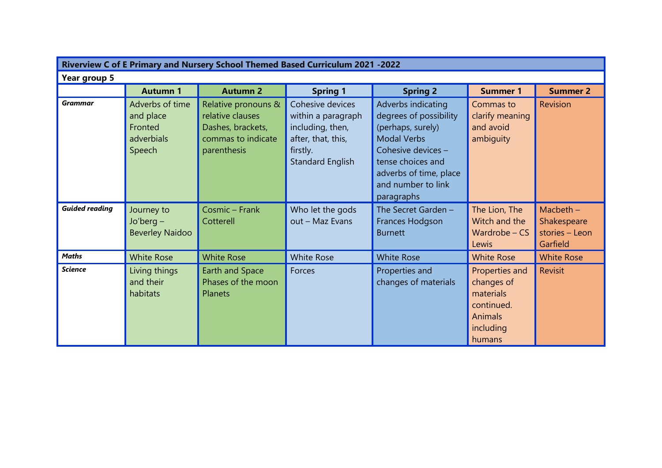| Riverview C of E Primary and Nursery School Themed Based Curriculum 2021 -2022 |                                                                 |                                                                                                   |                                                                                                                         |                                                                                                                                                                                                  |                                                                                                  |                                                          |  |  |
|--------------------------------------------------------------------------------|-----------------------------------------------------------------|---------------------------------------------------------------------------------------------------|-------------------------------------------------------------------------------------------------------------------------|--------------------------------------------------------------------------------------------------------------------------------------------------------------------------------------------------|--------------------------------------------------------------------------------------------------|----------------------------------------------------------|--|--|
| Year group 5                                                                   |                                                                 |                                                                                                   |                                                                                                                         |                                                                                                                                                                                                  |                                                                                                  |                                                          |  |  |
|                                                                                | <b>Autumn 1</b>                                                 | <b>Autumn 2</b>                                                                                   | <b>Spring 1</b>                                                                                                         | <b>Spring 2</b>                                                                                                                                                                                  | <b>Summer 1</b>                                                                                  | <b>Summer 2</b>                                          |  |  |
| <b>Grammar</b>                                                                 | Adverbs of time<br>and place<br>Fronted<br>adverbials<br>Speech | Relative pronouns &<br>relative clauses<br>Dashes, brackets,<br>commas to indicate<br>parenthesis | Cohesive devices<br>within a paragraph<br>including, then,<br>after, that, this,<br>firstly.<br><b>Standard English</b> | Adverbs indicating<br>degrees of possibility<br>(perhaps, surely)<br><b>Modal Verbs</b><br>Cohesive devices -<br>tense choices and<br>adverbs of time, place<br>and number to link<br>paragraphs | Commas to<br>clarify meaning<br>and avoid<br>ambiguity                                           | <b>Revision</b>                                          |  |  |
| <b>Guided reading</b>                                                          | Journey to<br>$Jo'berq -$<br><b>Beverley Naidoo</b>             | Cosmic - Frank<br>Cotterell                                                                       | Who let the gods<br>out - Maz Evans                                                                                     | The Secret Garden -<br>Frances Hodgson<br><b>Burnett</b>                                                                                                                                         | The Lion, The<br>Witch and the<br>Wardrobe $-$ CS<br>Lewis                                       | Macbeth $-$<br>Shakespeare<br>stories - Leon<br>Garfield |  |  |
| <b>Maths</b>                                                                   | <b>White Rose</b>                                               | <b>White Rose</b>                                                                                 | <b>White Rose</b>                                                                                                       | <b>White Rose</b>                                                                                                                                                                                | <b>White Rose</b>                                                                                | <b>White Rose</b>                                        |  |  |
| <b>Science</b>                                                                 | Living things<br>and their<br>habitats                          | Earth and Space<br>Phases of the moon<br><b>Planets</b>                                           | Forces                                                                                                                  | Properties and<br>changes of materials                                                                                                                                                           | Properties and<br>changes of<br>materials<br>continued.<br><b>Animals</b><br>including<br>humans | <b>Revisit</b>                                           |  |  |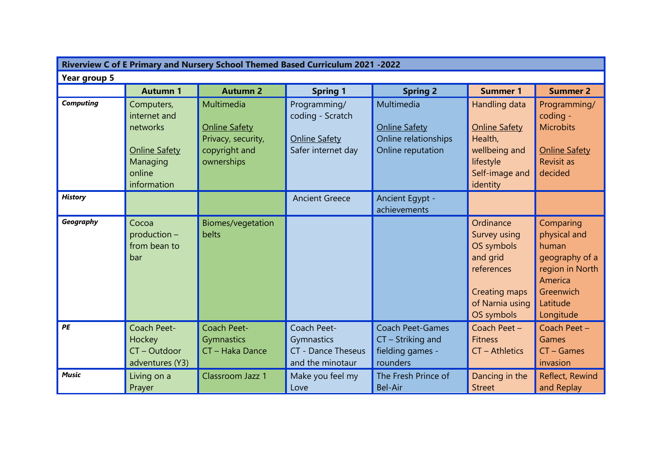| Riverview C of E Primary and Nursery School Themed Based Curriculum 2021 -2022 |                                                                                                     |                                                                                         |                                                                                |                                                                                 |                                                                                                                            |                                                                                                                          |  |  |
|--------------------------------------------------------------------------------|-----------------------------------------------------------------------------------------------------|-----------------------------------------------------------------------------------------|--------------------------------------------------------------------------------|---------------------------------------------------------------------------------|----------------------------------------------------------------------------------------------------------------------------|--------------------------------------------------------------------------------------------------------------------------|--|--|
| Year group 5                                                                   |                                                                                                     |                                                                                         |                                                                                |                                                                                 |                                                                                                                            |                                                                                                                          |  |  |
|                                                                                | <b>Autumn 1</b>                                                                                     | <b>Autumn 2</b>                                                                         | <b>Spring 1</b>                                                                | <b>Spring 2</b>                                                                 | <b>Summer 1</b>                                                                                                            | <b>Summer 2</b>                                                                                                          |  |  |
| <b>Computing</b>                                                               | Computers,<br>internet and<br>networks<br><b>Online Safety</b><br>Managing<br>online<br>information | Multimedia<br><b>Online Safety</b><br>Privacy, security,<br>copyright and<br>ownerships | Programming/<br>coding - Scratch<br><b>Online Safety</b><br>Safer internet day | Multimedia<br><b>Online Safety</b><br>Online relationships<br>Online reputation | Handling data<br><b>Online Safety</b><br>Health,<br>wellbeing and<br>lifestyle<br>Self-image and<br>identity               | Programming/<br>coding -<br><b>Microbits</b><br><b>Online Safety</b><br><b>Revisit as</b><br>decided                     |  |  |
| <b>History</b>                                                                 |                                                                                                     |                                                                                         | <b>Ancient Greece</b>                                                          | Ancient Egypt -<br>achievements                                                 |                                                                                                                            |                                                                                                                          |  |  |
| Geography                                                                      | Cocoa<br>production -<br>from bean to<br>bar                                                        | Biomes/vegetation<br>belts                                                              |                                                                                |                                                                                 | Ordinance<br>Survey using<br>OS symbols<br>and grid<br>references<br><b>Creating maps</b><br>of Narnia using<br>OS symbols | Comparing<br>physical and<br>human<br>geography of a<br>region in North<br>America<br>Greenwich<br>Latitude<br>Longitude |  |  |
| PE                                                                             | Coach Peet-<br>Hockey<br>CT-Outdoor<br>adventures (Y3)                                              | Coach Peet-<br>Gymnastics<br>CT - Haka Dance                                            | Coach Peet-<br>Gymnastics<br><b>CT</b> - Dance Theseus<br>and the minotaur     | <b>Coach Peet-Games</b><br>CT - Striking and<br>fielding games -<br>rounders    | Coach Peet -<br><b>Fitness</b><br><b>CT</b> – Athletics                                                                    | Coach Peet -<br>Games<br>$CT - Games$<br>invasion                                                                        |  |  |
| <b>Music</b>                                                                   | Living on a<br>Prayer                                                                               | Classroom Jazz 1                                                                        | Make you feel my<br>Love                                                       | The Fresh Prince of<br><b>Bel-Air</b>                                           | Dancing in the<br><b>Street</b>                                                                                            | Reflect, Rewind<br>and Replay                                                                                            |  |  |